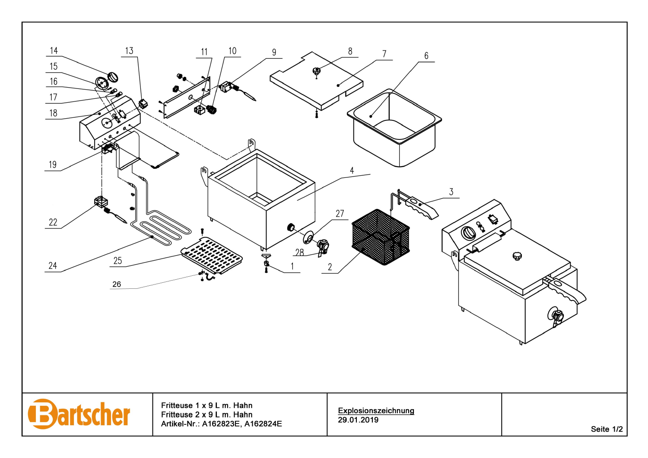